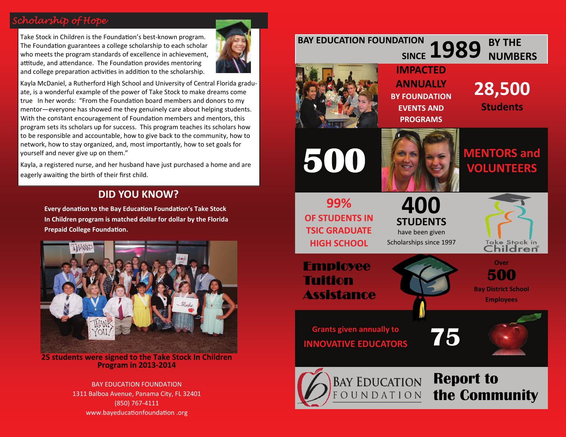## *Scholarship of Hope*

attitude, and attendance. The Foundation provides mentoring and college preparation activities in addition to the scholarship.



Kayla McDaniel, <sup>a</sup> Rutherford High School and University of Central Florida gradu‐ ate, is <sup>a</sup> wonderful example of the power of Take Stock to make dreams come true In her words: "From the Foundation board members and donors to my mentor—everyone has showed me they genuinely care about helping students. With the constant encouragement of Foundation members and mentors, this program sets its scholars up for success. This program teaches its scholars how to be responsible and accountable, how to give back to the community, how to network, how to stay organized, and, most importantly, how to set goals for yourself and never give up on them."

Kayla, <sup>a</sup> registered nurse, and her husband have just purchased <sup>a</sup> home and are eagerly awaiting the birth of their first child.

## **DID YOU KNOW?**

**Every donaƟon to the Bay EducaƟon FoundaƟon's Take Stock In Children program is matched dollar for dollar by the Florida Prepaid College Foundation.** 



**25 students were signed to the Take Stock In Children Program in 2013‐2014**

BAY EDUCATION FOUNDATION 1311 Balboa Avenue, Panama City, FL 32401 (850) 767‐4111 www.bayeducationfoundation .org